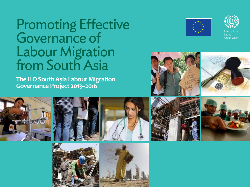# Promoting Effective Governance of Labour Migration from South Asia

**The ILO South Asia Labour Migration Governance Project 2013–2016**





**nternational Organization** 











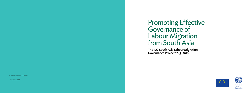November 2014

## Promoting Effective Governance of Labour Migration from South Asia





hternatic ahour Organization

**The ILO South Asia Labour Migration Governance Project 2013–2016**

**ILO Country Office for Nepal**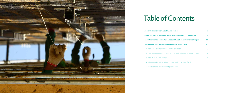

# Table of Contents

**Labour migration from South A Labour migration between South The ILO response: South Asia La The SALM Project: Achievement** 1. Promotion of safe migration and 2. Improvement of recruitment s 3. Protection in employment 4. Labour market information, training 5. Migration and development (

| <b>Asia: Trends</b>                       |    |
|-------------------------------------------|----|
| <b>ith Asia and the GCC: Challenges</b>   |    |
| abour Migration Governance Project        | 11 |
| nts as of October 2014                    | 13 |
| and information                           | 13 |
| services and reduction of migration costs | 14 |
|                                           | 14 |
| raining and portability of skills         | 16 |
| (Nepal only)                              |    |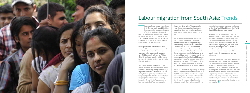

The world's foreign migrant population<br>
in 2013 was an estimated 232 million<br>
(persons residing outside their countr<br>
of birth), according to the United<br>
Nations Population Division. The International he world's foreign migrant population in 2013 was an estimated 232 million (persons residing outside their country of birth), according to the United Labour Organization (ILO) estimated (in 2010) the population of foreign migrant workers at more than 105 million – with more than 30 million (almost 30 per cent) in Asia.

Latest government data place the total annual outflow from five countries in South Asia at 2.5 million migrant workers per year. India is the largest sending country (at 747,000 workers), followed by Pakistan (623,000 workers), Nepal (454,000 workers), Bangladesh (409,000 workers) and Sri Lanka (282,000 workers). 1

South Asian migrant workers are found around the world, with the migration trends becoming increasingly complex these days. Migrant movements within South Asia are mainly to India (primarily from Nepal and Bangladesh) and to Pakistan (mainly Afghan refugees). Within Asia, there is a steadily increasing flow of South Asian workers to East and South-East Asia, with Malaysia

the primary destination. Though smaller in number, workers are also choosing the Republic of Korea and entering under the Employment Permit System, introduced in 2006.

> There is an increasing trend of female workers going abroad, although starting from a very low level and with variation among countries: women account for 50 per cent of all migrants from Sri Lanka, but only 6 per cent of all migrants from Nepal and only 1 per cent from Pakistan.<sup>6</sup> In the GCC countries, women are primarily employed in hospitality and services, including domestic work, whereas men typically are employed in construction, manufacturing, agriculture/herding, transport and security.  $\Box$

Still, the main flow of workers from South Asia is to Gulf Cooperation Council (GCC) member states. The GCC region emerged as the primary destination for South Asian workers in the 1970s and has remained because of the demand connected with the massive oil boom-related development. Of all migrant workers from India, Pakistan and Sri Lanka, 96 per cent, 94 per cent and 88 per cent, respectively, take jobs in a GCC country. About 67 per cent of all migrant workers from Bangladesh end up in a GCC country. 2 62 per cent of all migrants from Nepal work in the GCC and an additional 36 per cent in Malaysia.

The six GCC economies rely heavily on foreign labour – expatriates account for around 85 of the GCC countries' total population. Foreign labour comprises 99 per cent of the private sector labour force in Qatar, 93 per cent in Kuwait and 89 per cent in Saudi Arabia. 3 Future demand is likely to increase with the

## Labour migration from South Asia: Trends

extensive infrastructure investments planned for the Qatar World Cup 2022, the UAE World Expo 2020 and across Saudi Arabia. 4

Although Asia accounted for a third of all migrants to OECD countries in 2011, and half of them had higher education (largely from China, India and Philippines), 5 the majority of South Asian migrant workers are low- or semi-skilled. A large majority of South Asian migrants (including all who go to the GCC countries) work with a fixed-term contract. The private sector manages most of the recruitment, with state agencies taking a minor role.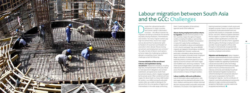

espite the substantial benefits –<br>
remittances in origin countries<br>
and human capital in destination<br>
countries – the official channels for<br>
migration are failing to distribute the benefits remittances in origin countries and human capital in destination countries – the official channels for equitably among employers, intermediaries and workers. Too many migrant workers pay high recruitment fees, receive low wages and are denied their fundamental rights to freedom of movement and freedom of association when abroad. Abuses during recruitment and employment are common.<sup>7</sup> Yet, sadly, the lack of decent work options at home makes the challenging conditions abroad a compelling choice. Specific challenges entail the following.

### **Commercialization of the recruitment industry and exploitation during**

**recruitment.** Malpractice and abuse, including high fees, misrepresentation of the jobs, failure to meet placement obligations and contract substitution, are typical across South Asia's recruitment industry, which is largely managed by the private sector. Often combined with low wages, the abuse leads to a heavy debt burden for workers. Low-skilled and poorly educated workers often are unable to distinguish the genuine from the unscrupulous of agents and intermediaries in the wide range confronting

them. Current regulation of recruitment agencies tends to be ineffective.

> **Migration and development:** Labour migration generates substantial benefits for both countries of origin and destination. In addition to remittances, migration enables the upgrading of professional, cultural and social skills as well as technology transfer. Yet, development frameworks are largely quiet on how to use these resources at the national, community and individual household levels. International migration has become a vehicle for development and poverty reduction and may be incorporated in the Post-2015 Development Agenda – but the contribution of migrants in promoting development and poverty reduction in origin countries and towards the prosperity of destination countries needs to be recognized and reinforced.

**Abuses during employment and low returns to migration.** Several restrictive policies in the GCC countries impact the rights of migrant workers, including the kafala, or sponsorship system.8 The absence of freedom of association in many GCC states further contributes to workers' vulnerability to abuse and exploitation. In 2012, the ILO estimated<sup>9</sup> that some 600,000 migrants are trapped in forced labour conditions in the Middle East. Domestic workers are particularly vulnerable to abuse because they work in the isolation of private homes. Employers' illegal confiscation of workers' identity and travel documents is common practice, as is the signing of second contracts with lower wages and modified work- and living conditions.<sup>10</sup> Even where access to legal redress is provided under national law (with domestic work excluded across the region), there are few prosecutions and convictions in favour of migrant workers.

#### **Labour mobility, skills and certification:**

Lack of information about qualifications, skills and wages and how demand will evolve in the short, medium and long terms inhibits informed decisions among workers and public and private institutions. This results in lost opportunities or

training investment mistakes in both source and recipient countries. There is no system of mutual recognition of educational attainment and acquired skills, based on comparable standards for low- and semi- skilled occupations between the two regions. A system that recognizes and certifies workers' qualifications and skills, that periodically tests for and documents upgraded skills throughout the foreign employment and provides mutual recognition of those skills through an internationally recognized 'skills passport' would bring tremendous benefits to countries, employers and workers.

## Labour migration between South Asia and the GCC: Challenges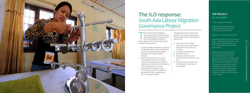

### **THE PROJECT AT A GLANCE**

**Donor:** European Commission

**Budget:** €2,407,186 (of which the European Union is contributing €1,925,749 and ILO €481,437)

**Duration:** 1 June 2013–31 May 2016

**Geographical focus:** Three countries of origin – India, Nepal and Pakistan – and three countries of destination in the GCC – Kuwait, Qatar and the United Arab Emirates

The South Asia Labour Migration<br>
Governance Project (SALM) promote<br>
well-managed labour migration flow<br>
from India, Nepal and Pakistan to<br>
Kuwait, Qatar and the United Arab Emirates he South Asia Labour Migration Governance Project (SALM) promotes well-managed labour migration flows from India, Nepal and Pakistan to through three approaches:

> **Partners:** Ministry of Labour and Employment in Nepal; Ministry of Overseas Pakistanis and Human Resource Development in Pakistan; and Ministry of Overseas Indian Affairs and the India Centre for Migration in India. The project also works with workers' and employers' organizations, private recruitment agencies, NGOs, migrant associations, diaspora organizations, embassies, researchers and other actors in each country.

- 1. Providing reliable information on overseas employment opportunities and building up the system for matching qualified jobseekers with foreign employer demand.
- 2. Improving recruitment services and increasing the protection of migrant workers during employment to reduce migration costs and recruitment abuses in origin and destination countries.
- 3. Expanding training opportunities and providing a system to enable the portability of skills for outgoing and returning migrant workers.

Through governments, trade unions and NGOs, the project targets at least 15,000 migrants from India, Nepal and Pakistan with:

- $\blacksquare$  improved access to reliable information on job opportunities and requirements in the GCC countries;
- **n** pre-departure information;
- $\blacksquare$  portability of skills;
- $\blacksquare$  better recruitment services, including lower recruitment costs; and
- protection during employment, including links to local service providers.

### The ILO response: South Asia Labour Migration Governance Project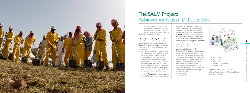

the SALM project respond<br>
challenges of migration<br>
Asia–GCC country corric<br>
activities in five critical a<br>
following achievements to date. he SALM project responds to the challenges of migration in the South Asia–GCC country corridors with activities in five critical areas, with the

**information:** Access to accurate and relevant information prior to migration is absolutely necessary to ensure that workers make informed decisions throughout their migration cycle.

### **1. Promotion of safe migration and**

 $\blacksquare$  The project is helping to establish migrant resource or information centres. In **India**, the project is working with the India Center for Migration to enhance the capacity and outreach of two centres in Andhra Pradesh and Kerala, the two states that sends most low- and semiskilled workers who go to GCC countries each year. An evaluation of the migrant resource centres is ongoing to determine the strengths and weaknesses of the model. In **Pakistan**, the project supports the establishment of a migrant resource

centre within the Protector of Emigrants Office in Lahore – the first-ever facility in the country dedicated to providing information activities to migrant workers. In **Nepal**, the project collaborates with the Department of Foreign Employment in the establishment of an information centre in the Labour Village of Kathmandu – a one-stop location catering to 1,200–1,500 workers on a daily basis. Full implementation of activities will commence by February 2015.

- The project is developing country-specific information booklets called Travel Smart – Work Smart. The booklets target low- and semi-skilled workers with information on security during employment, working safely and profitably and how to avoid exploitation and abuse. The eight booklets created thus far refer to the following specific migration corridors and will be translated into local languages:
- $\bullet$  Nepal Kuwait
- $\bullet$  Nepal Oatar
- $\bullet$  Nepal UAE



- $\bullet$  India Kuwait
- $\bullet$  India Oatar
- $\bullet$  India UAE
- <sup>l</sup> Pakistan Saudi Arabia
- $\bullet$  Pakistan UAE

In **India**, the Ministry of Overseas Indian Affairs will replicate the booklets for additional destination countries.

### The SALM Project: Achievements as of October 2014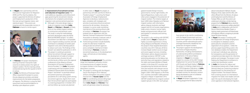$\overline{z}$ 



### **2. Improvement of recruitment services and reduction of migration costs:** The work addresses regulatory and enforcement

gaps governing the recruitment industry, mechanisms for complaints and remedy, migration costs and recruitment practices.

- $\blacksquare$  Although in the early design stage, a study on migration costs from **India**, **Nepal** and **Pakistan** to **Kuwait** will likely focus on low-skilled migrant workers in construction and domestic work. The study is using the methodology and tools developed under the World Bank-led KNOMAD project<sup>12</sup> to collect recruitment cost data that is comparable across migrant-sending countries and will contribute to a database of worker-paid migration costs and to develop policies to reduce such costs. The findings of the research are slated for publication in 2015.
- The project is working to promote ethical recruitment through support to the development of codes of conduct and national plans of action for selfmonitoring (as a follow-up to the regional conferences of the Alliance of Asian Associations of Overseas Employment Service Providers<sup>13</sup>). In **India**, the project is partnering with the European Unionfunded ILO Decent Work Across Borders Project<sup>14</sup> and Verité<sup>15</sup> to promote ethical recruitment practices and explore possibilities for a self-rating system among recruitment agencies. Agents from more than 30 recruitment agencies participated in a training programme in October 2014 and two follow-up courses are planned
- $\blacksquare$  Forthcoming activities include feasibility studies for alternative models for rating private recruitment agencies and a complaints mechanism linked to licensing. In **Pakistan**, a study on recruitment practices, in the development stage, will look also at intermediary agents.
- **3. Protection in employment:** The activities range from legislation and policy review to increasing access of support services to migrant workers in the three targeted destination countries.
- $\blacksquare$  The project is working with the Migrant Forum Asia (August 2014–February 2016) to strengthen civil society support mechanisms in **Kuwait**, **Qatar** and the **UAE** for coordinating and providing legal and social services to migrant workers from **India**, **Nepal** and **Pakistan**. That work will generate a base for advocacy

in other states. In **Nepal**, the project, in partnership with IOM and the ILO Work in Freedom project<sup>16</sup> is assisting the Nepal Association of Foreign Employment Agencies to develop a national action plan, complete with strategies and activities to promote ethical recruitment practices for all members. Among the strategies is a sector-wide monitoring mechanism of the existing ethical code of conduct. In **Pakistan**, the project has entered into an agreement with the Pakistan Overseas Employment Promoters Association to develop a national code of conduct and a national plan of action.

 $\blacksquare$  The project is also working with GEFONT, a trade union in **Nepal**, to replicate its highly successful experiences in Hong Kong, Malaysia and Republic of Korea in the project's three targeted destination countries (July 2014–February 2016) to increase Nepali workers' access to legal and social support services, including information, advice, dispute resolution and legal assistance. GEFONT is also promoting education on the labour law and other laws and regulations related to the rights and responsibilities of Nepali workers in the three GCC countries and strengthening the formal and informal links and networks with relevant service providers in those countries. The project targets 2,000–3,000 migrants in the three GCC countries and 4,000–5,000 potential migrants in Nepal. In September 2014, GEFONT established two migrant workers' support groups in the UAE. Such groups

- $\blacksquare$  The project supports the development and review of legal and policy frameworks, including memorandums of understanding (MOU) and bilateral agreements in the area of labour migration. In **Nepal**, this includes support to a review of the 2007 Foreign Employment Act and of the draft MOUs with Kuwait and Saudi Arabia. In **Pakistan**, the project is initiating a legal review of the 1979 Emigration Ordinance. In **India**, the project has provided inputs to the standard contract for domestic workers being developed as part of a bilateral MOU with Saudi Arabia.
- **n** In **Nepal**, the project supported a 12-day training programme for labour attachés
- **n** In **Nepal**, the project is working with the Department of Foreign Employment to strengthen its database system, particularly for complaints and the registration of occupations. Unlike the previous paper-based filing system, the new database enables the Department to track each individual case, allowing for transparency and the generation of comprehensive data reports for informing policies and strategies. The project is also helping the Department to enhance its current job classification system.
- **n** In **India**, the Society for Labour and Development along with a Trade Unions Advisory Body are conducting evidencebased research on the protection of migrant workers. The research follows from a training session on international migration for trade union leaders and will open the way for developing the trade union agenda on international migration.

geared towards foreign missions, governments, human rights bodies, UN Special Rapporteurs, trade unions and other actors engaged in the protection of migrant workers. The initiative targets at least 3,000 Indian, Nepalese and Pakistani migrant workers with information, advice, dispute resolution and legal support and 20 civil society organizations, trade unions, missions, human rights bodies and government officials with participation in networks and training workshops.

**n** In **Nepal** and in partnership with the International Organization for Migration (IOM) and The Asia Foundation, the project supported the Ministry of Labour and Employment's production of the first-ever annual migration status- and statistical report.<sup>11</sup> Discussions are ongoing with the responsible ministry in **Pakistan** to launch a similar report.



- **n** In **Pakistan**, the project developed a training of trainers' manual for trade unionists to better protect the rights of migrant workers. The first training will be conducted during the first quarter of 2015 in Lahore.
- **n** In **India**, the Ministry of Overseas Indian Affairs requested the project to assess the pre-departure activities and detail improvements for the better preparation of migrants. The Ministry is using the field assessment and recommendations to develop a pre-departure system.

have proven to be vital for coordinating with the Nepali Government and nongovernment agencies in the destination countries and for advocating for policy and legal frameworks needed for the protection of migrant workers.

about to be placed in Bahrain, Kuwait, Malaysia, Oman, Qatar and the UAE, with other officials from the Ministry of Labour and Employment and the Ministry of Foreign Affairs as well. Discussions are underway to develop a similar training programme for **Pakistani** labour attachés (referred to as community welfare attachés). In **India** and in collaboration with the ILO Decent Work Across Borders Project, a training needs assessment of Protectorate of Emigrants officers is ongoing to provide inputs for future training.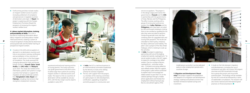

17

 $\blacksquare$  Forthcoming activities include studies on migrant workers' access to justice (including settlement of complaints and grievances) in targeted countries of destination and origin. In **Nepal**, the project is exploring with the Foreign Employment Promotion Board the prospects of reviewing the migrant workers' welfare fund.

#### **4. Labour market information, training and portability of skills:** The work is

focused on improving information about labour migration (including labour market need assessments), creating a system of mutual recognition of educational attainment and acquired skills and the better training of prospective migrant workers.

 $\blacksquare$  A study on the skills and occupations in demand in six destination countries and links to recruitment, training, certification and accreditation in four countries of origin in South Asia is in the final stages of completion. The study assessed the changing demand for male and female foreign workers in **Kuwait**, **Qatar**, **Saudi Arabia**, the **UAE**, **India** and **Malaysia** up to 2025. The study also looked at the information, policies and systems in origin countries that hamper or support the migration of male and female workers from **Bangladesh**, **India**, **Nepal** and **Pakistan**, including interventions that strengthen employment networks,



- **n** In **India**, the ILO is a technical partner to an interministerial committee established by the Ministry to look at the skilling scheme for overseas migration.
- $\blacksquare$  The ILO, with support from the project, is a member of the steering committee of a pilot project on skills development, certification, upgrading, recognition and skills passports in construction and

vocational and technical training and the of issuing permits. The study outcomes can guide governments and other actors to better align their systems for assisting migrant workers in selected sectors and trades. The report on the six countries of destination will be available by January 2015, with the four origin country reports available in early 2015.

**n** In **India**, the project is exploring a partnership with one of the leading employment portals, naukrigulf.com,<sup>17</sup> to recruit workers to jobs in the GCC region to expand its coverage to low-skilled workers. Due to a number of factors, naukrigulf.com – and other similar sites – is limited to recruiting skilled (or semi-skilled) workers. With the support of the project, a pilot will be conducted to explore ways to encourage lowskilled workers to post their CVs on the website (perhaps through a mobile phone application) and thereby find employment without having to pay fees to a recruitment agency. If the

**only):** The project supports the preparation and adoption of a migration and development strategy, roadmap and piloted activities that facilitate remittance-backed savings and investment.

 $\blacksquare$  A study on the links between migration and development, including the use of remittances and skills, will involve 250 migrant returnees and 500 households through focus group discussions and structured questionnaires. The findings will be available by mid-2015 and will be followed by a series of stakeholder consultations. The research will also review national and international good practices on financial products.

service occupations. The project is in the design stage and involves the governments of **Kuwait** and the **UAE**, in partnership with the governments of India, Pakistan and the Philippines. The effort involves working with a group of construction and service workers from **India, Pakistan** and the **Philippines** who have been recruited by UAE and Kuwaiti employers, testing them to be certified as qualified for the jobs they were recruited to perform, conducting periodic tests and then certifying them for upgraded skills and issuing skills passports. The results are intended to inform policy initiatives for labour admission and mobility. The pilot is also a project of the Abu Dhabi Dialogue, which is looking to scale up the activities.

> model proves successful, it can be replicated easily on other employment portals and in countries of origin.

#### **5. Migration and development (Nepal**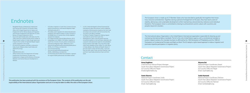$\frac{8}{18}$ 

 $\overline{9}$ 

- <sup>1</sup> Bangladesh Bureau of Manpower, Employment and Training (2013), Ministry of Overseas Indian Affairs (2012), Nepal Department of Labour and Employment (2014), Pakistan Bureau of Emigration and Overseas Employment (2013)and the Sri Lanka Bureau of Foreign Employment (2012).
- Due to the open border policy with India since the 1950s, there are no official records of the number of Nepali migrant workers in India, though reports put it equal to the number of registered Nepali migrant workers elsewhere in the world.
- <sup>3</sup> ILO and GiZ:Occupations and skills in demand in India, Kuwait, Malaysia, Qatar, Saudi Arabia and UAE(Forthcoming).
- <sup>4</sup> ibid.
- <sup>5</sup> ADBI/OFCD/ILO, 2014.
- <sup>6</sup> Official statistics from the Department of Foreign Employment of the Ministry of Labour and Employment in Nepal; and the Ministry of Overseas Pakistanis and Human Resource Development in Pakistan.

### Endnotes

#### **Anna Engblom**

Chief Technical Advisor/Project Manager South Asia Labour Migration Governanc ILO Country Office for Nepal Email:engblom@ilo.org

#### **Seeta Sharma**

National Project Coordinator, India South Asia Labour Migration Governanc ILO Country Office for India Email: sharma@ilo.org

| e Project: | Niyama Rai<br>National Project Coordinator, Nepal<br>South Asia Labour Migration Governance Project<br>ILO Country Office for Nepal<br>Email: niyama@ilo.org          |
|------------|-----------------------------------------------------------------------------------------------------------------------------------------------------------------------|
| e Project: | Sadia Hameed<br>National Project Coordinator, Pakistan<br>South Asia Labour Migration Governance Project<br>ILO Country Office for Pakistan<br>Email: hameeds@ilo.org |

- ILO:Labour migration in South Asia: A review of issues, policies and practices, International Migration Paper 108 (Kathmandu,2011).
- <sup>8</sup> The kafala system regulates the relationship between employers and migrant workers in many countries in the Middle East in a manner that is firmly weighted towards the employer.
- <sup>9</sup> ILO: Global estimate of forced labour(Geneva, 2012). <sup>10</sup> IrudayaRajan et al. (2008), in ILO:Labour migration in South Asia: A review of issues, policies and practices, International Migration Paper 108(Geneva, 2011).
- <sup>11</sup> Seewww.ilo.org/kathmandu/whatwedo/publications/ WCMS\_312137/lang--en/index.htm
- <sup>12</sup> See www.knomad.org/
- <sup>13</sup> See www.ilo.org/manila/info/public/pr/ WCMS\_240034/lang--en/index.htm
- <sup>14</sup> ILO Promoting Decent Work Across Borders is aproject for migrant health professionals and skilled workers.

The International Labour Organization is the United Nations' international organization responsible for drawing up and overseeing international labour standards. The ILO is the only United Nations agency with a constitutional mandate to protect migrant workers; this mandate has been re-affirmed by the 1944 Declaration of Philadelphia and the 1998 ILO Declaration on Fundamental Principles and Rights at Work. The ILO adopts a rights-based approach to labour migration and promotes tripartite participation in migration policy.

### **Contact**

The European Union is made up of 27 Member States who have decided to gradually link together their knowhow, resources and destinies. Together, during a period of enlargement of 50 years, they have built a zone of stability, democracy and sustainable development whilst maintaining cultural diversity, tolerance and individual freedoms. The European Union is committed to sharing its achievements and its values with countries and peoples beyond its borders.

- <sup>15</sup> In 2012, Verité developed its Ethical Framework for International Labour Recruitment, which establishes standards of ethical practice, based on the Ciett Code of Conduct and consistent with ILO Convention No. 181 and its core labour standards.
- <sup>16</sup> ILO Work in Freedom Programme: Making migrant work safer for women from South Asia.
- <sup>17</sup> Naukrigulf.com claims to be the fastest-growing recruitment platform in the Gulf States, catering to the corporate world, placement agencies and jobseekers; having started in April 2006, it has more than 6,500 clients and a database of four million CVs, with offices in Dubai, Bahrain, Abu Dhabi and Riyadh. Nearly 24 per cent of all its visitors are from India, 17 per cent from the UAE, nearly 10 per cent from Pakistan, 9 per cent from Saud Arabia and almost 9 per cent from Qatar.

*This publication has been produced with the assistance of the European Union. The contents of this publication are the sole responsibility of the International Labour Organization and can in no way be taken to reflect the views of the European Union.*